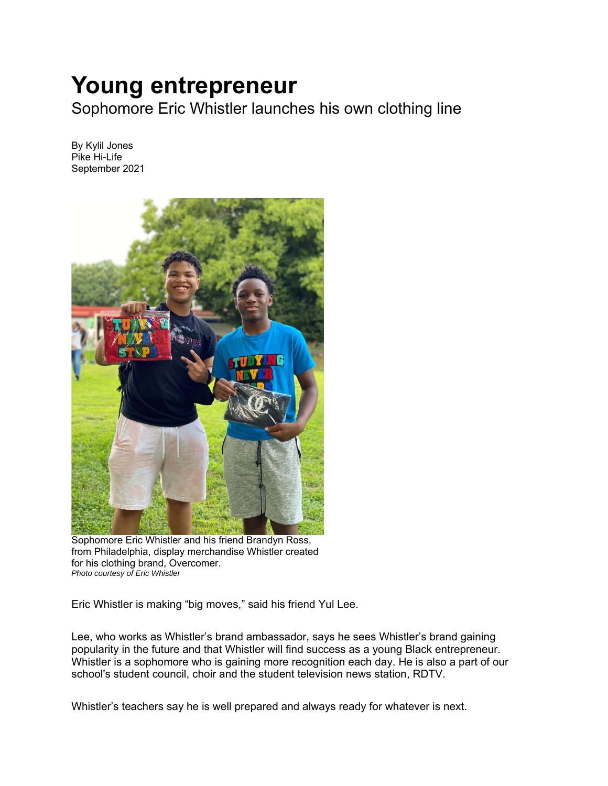## **Young entrepreneur**

Sophomore Eric Whistler launches his own clothing line

By Kylil Jones Pike Hi-Life September 2021



Sophomore Eric Whistler and his friend Brandyn Ross, from Philadelphia, display merchandise Whistler created for his clothing brand, Overcomer. *Photo courtesy of Eric Whistler* 

Eric Whistler is making "big moves," said his friend Yul Lee.

Lee, who works as Whistler's brand ambassador, says he sees Whistler's brand gaining popularity in the future and that Whistler will find success as a young Black entrepreneur. Whistler is a sophomore who is gaining more recognition each day. He is also a part of our school's student council, choir and the student television news station, RDTV.

Whistler's teachers say he is well prepared and always ready for whatever is next.